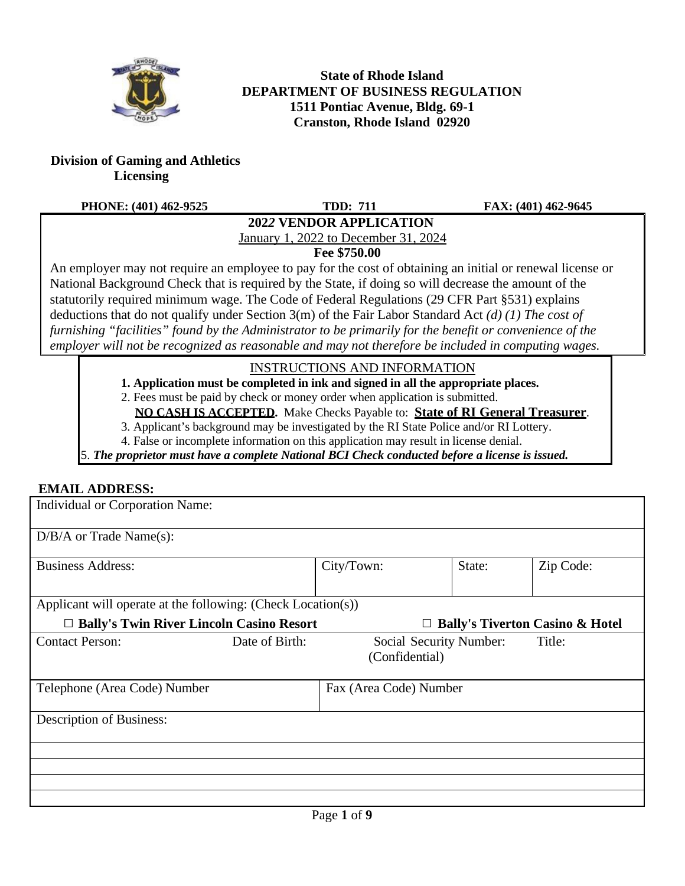

**State of Rhode Island DEPARTMENT OF BUSINESS REGULATION 1511 Pontiac Avenue, Bldg. 69-1 Cranston, Rhode Island 02920**

**Division of Gaming and Athletics Licensing**

#### **PHONE: (401) 462-9525 TDD: 711 FAX: (401) 462-9645**

## **202***2* **VENDOR APPLICATION**

January 1, 2022 to December 31, 2024

**Fee \$750.00**

An employer may not require an employee to pay for the cost of obtaining an initial or renewal license or National Background Check that is required by the State, if doing so will decrease the amount of the statutorily required minimum wage. The Code of Federal Regulations (29 CFR Part §531) explains deductions that do not qualify under Section 3(m) of the Fair Labor Standard Act *(d) (1) The cost of furnishing "facilities" found by the Administrator to be primarily for the benefit or convenience of the employer will not be recognized as reasonable and may not therefore be included in computing wages.*

### INSTRUCTIONS AND INFORMATION

**1. Application must be completed in ink and signed in all the appropriate places.**

2. Fees must be paid by check or money order when application is submitted.

**NO CASH IS ACCEPTED.** Make Checks Payable to: **State of RI General Treasurer**.

3. Applicant's background may be investigated by the RI State Police and/or RI Lottery.

4. False or incomplete information on this application may result in license denial.

5. *The proprietor must have a complete National BCI Check conducted before a license is issued.*

### **EMAIL ADDRESS:**

| Individual or Corporation Name:                              |                |                |                         |                                            |
|--------------------------------------------------------------|----------------|----------------|-------------------------|--------------------------------------------|
| $D/B/A$ or Trade Name(s):                                    |                |                |                         |                                            |
| <b>Business Address:</b>                                     |                | City/Town:     | State:                  | Zip Code:                                  |
| Applicant will operate at the following: (Check Location(s)) |                |                |                         |                                            |
| □ Bally's Twin River Lincoln Casino Resort                   |                |                |                         | <b>Bally's Tiverton Casino &amp; Hotel</b> |
| <b>Contact Person:</b>                                       | Date of Birth: | (Confidential) | Social Security Number: | Title:                                     |
| Fax (Area Code) Number<br>Telephone (Area Code) Number       |                |                |                         |                                            |
| Description of Business:                                     |                |                |                         |                                            |
|                                                              |                |                |                         |                                            |
|                                                              |                |                |                         |                                            |
|                                                              |                |                |                         |                                            |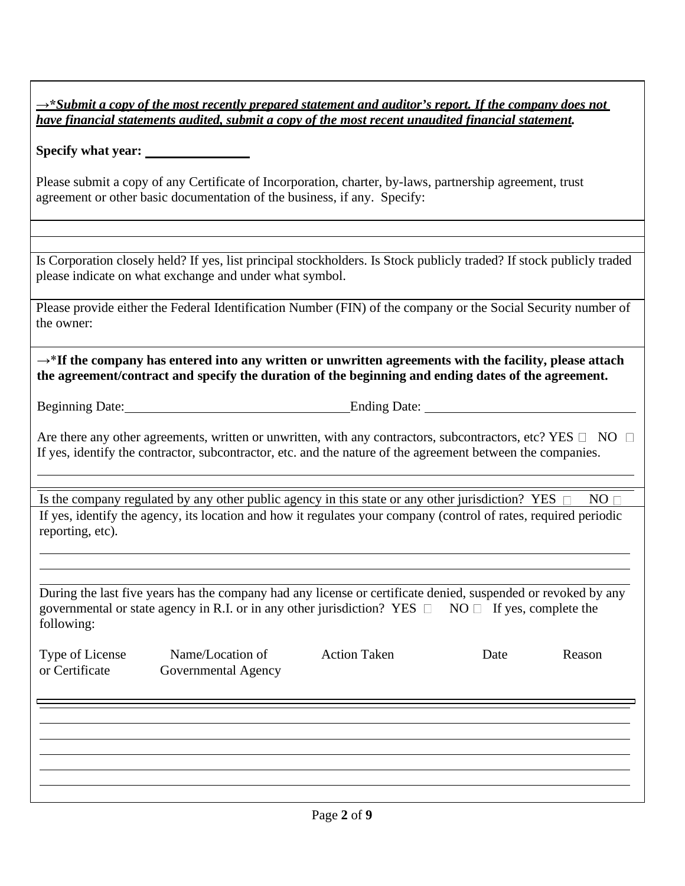| $\rightarrow$ *Submit a copy of the most recently prepared statement and auditor's report. If the company does not |
|--------------------------------------------------------------------------------------------------------------------|
| have financial statements audited, submit a copy of the most recent unaudited financial statement.                 |

**Specify what year:**

Please submit a copy of any Certificate of Incorporation, charter, by-laws, partnership agreement, trust agreement or other basic documentation of the business, if any. Specify:

Is Corporation closely held? If yes, list principal stockholders. Is Stock publicly traded? If stock publicly traded please indicate on what exchange and under what symbol.

Please provide either the Federal Identification Number (FIN) of the company or the Social Security number of the owner:

→\***If the company has entered into any written or unwritten agreements with the facility, please attach the agreement/contract and specify the duration of the beginning and ending dates of the agreement.**

Beginning Date: Ending Date:

Are there any other agreements, written or unwritten, with any contractors, subcontractors, etc? YES  $\Box$  NO  $\Box$ If yes, identify the contractor, subcontractor, etc. and the nature of the agreement between the companies.

Is the company regulated by any other public agency in this state or any other jurisdiction? YES  $\Box$  NO If yes, identify the agency, its location and how it regulates your company (control of rates, required periodic reporting, etc).

During the last five years has the company had any license or certificate denied, suspended or revoked by any governmental or state agency in R.I. or in any other jurisdiction? YES  $\Box$  NO  $\Box$  If yes, complete the following:

| Type of License<br>or Certificate | Name/Location of<br>Governmental Agency | <b>Action Taken</b> | Date | Reason |
|-----------------------------------|-----------------------------------------|---------------------|------|--------|
|                                   |                                         |                     |      |        |
|                                   |                                         |                     |      |        |
|                                   |                                         |                     |      |        |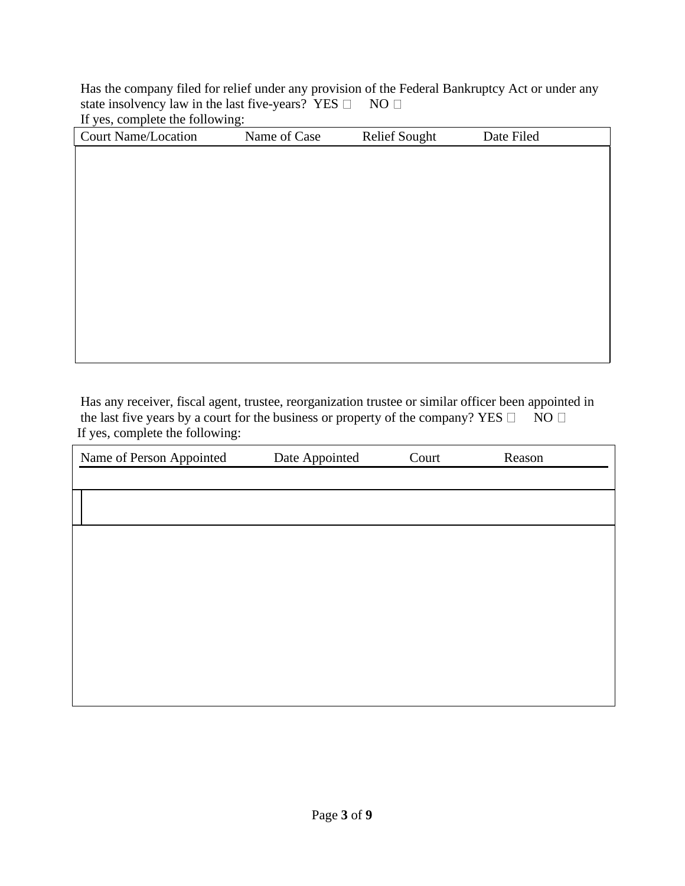Has the company filed for relief under any provision of the Federal Bankruptcy Act or under any state insolvency law in the last five-years? YES  $\square$  NO  $\square$ 

If yes, complete the following:

| <b>Court Name/Location</b> | Name of Case | <b>Relief Sought</b> | Date Filed |
|----------------------------|--------------|----------------------|------------|
|                            |              |                      |            |
|                            |              |                      |            |
|                            |              |                      |            |
|                            |              |                      |            |
|                            |              |                      |            |
|                            |              |                      |            |
|                            |              |                      |            |
|                            |              |                      |            |
|                            |              |                      |            |
|                            |              |                      |            |
|                            |              |                      |            |
|                            |              |                      |            |

Has any receiver, fiscal agent, trustee, reorganization trustee or similar officer been appointed in the last five years by a court for the business or property of the company? YES  $\Box$  NO  $\Box$ If yes, complete the following:

| Name of Person Appointed | Date Appointed | Court | Reason |
|--------------------------|----------------|-------|--------|
|                          |                |       |        |
|                          |                |       |        |
|                          |                |       |        |
|                          |                |       |        |
|                          |                |       |        |
|                          |                |       |        |
|                          |                |       |        |
|                          |                |       |        |
|                          |                |       |        |
|                          |                |       |        |
|                          |                |       |        |
|                          |                |       |        |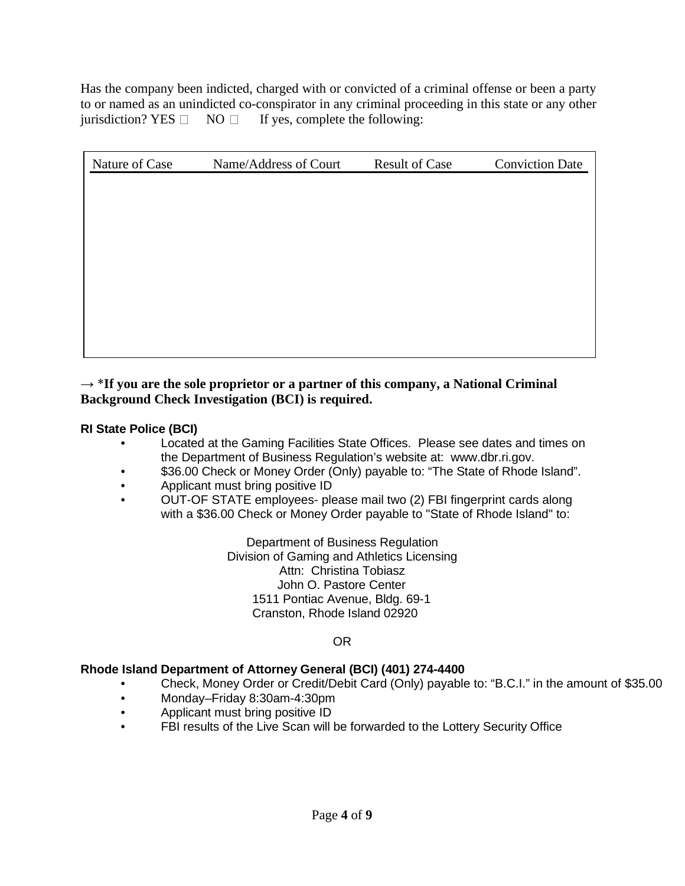Has the company been indicted, charged with or convicted of a criminal offense or been a party to or named as an unindicted co-conspirator in any criminal proceeding in this state or any other jurisdiction? YES  $\Box$  NO  $\Box$  If yes, complete the following:

| Nature of Case | Name/Address of Court | <b>Result of Case</b> | <b>Conviction Date</b> |
|----------------|-----------------------|-----------------------|------------------------|
|                |                       |                       |                        |
|                |                       |                       |                        |
|                |                       |                       |                        |
|                |                       |                       |                        |
|                |                       |                       |                        |
|                |                       |                       |                        |
|                |                       |                       |                        |
|                |                       |                       |                        |
|                |                       |                       |                        |

#### → \***If you are the sole proprietor or a partner of this company, a National Criminal Background Check Investigation (BCI) is required.**

**RI State Police (BCI)**

- Located at the Gaming Facilities State Offices. Please see dates and times on the Department of Business Regulation's website at: [www.dbr.ri.gov.](http://www.dbr.ri.gov/)
- \$36.00 Check or Money Order (Only) payable to: "The State of Rhode Island".
- Applicant must bring positive ID
- OUT-OF STATE employees- please mail two (2) FBI fingerprint cards along with a \$36.00 Check or Money Order payable to "State of Rhode Island" to:

Department of Business Regulation Division of Gaming and Athletics Licensing Attn: Christina Tobiasz John O. Pastore Center 1511 Pontiac Avenue, Bldg. 69-1 Cranston, Rhode Island 02920

OR

#### **Rhode Island Department of Attorney General (BCI) (401) 274-4400**

- Check, Money Order or Credit/Debit Card (Only) payable to: "B.C.I." in the amount of \$35.00
- Monday–Friday 8:30am-4:30pm
- Applicant must bring positive ID
- FBI results of the Live Scan will be forwarded to the Lottery Security Office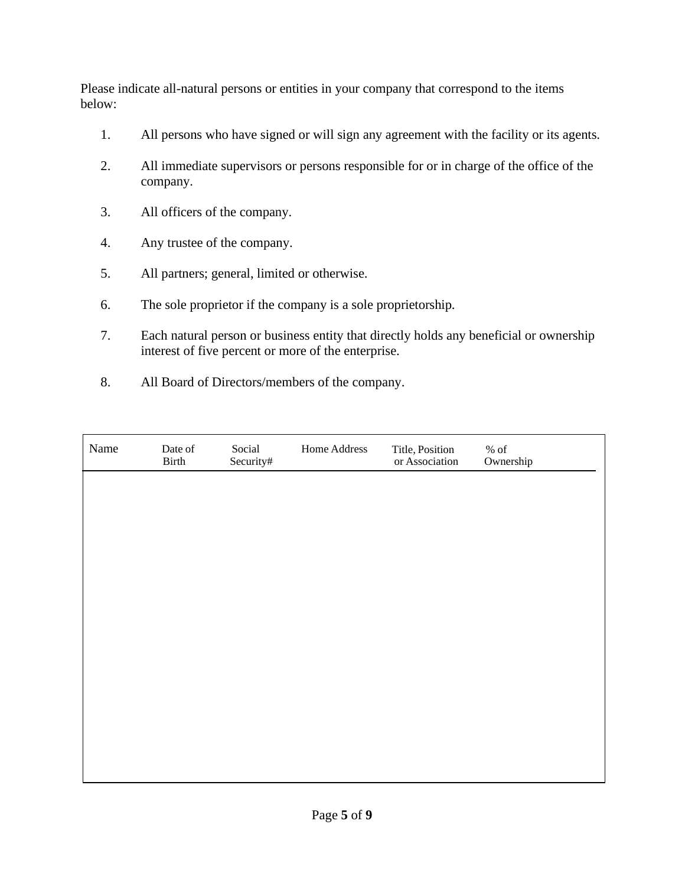Please indicate all-natural persons or entities in your company that correspond to the items below:

- 1. All persons who have signed or will sign any agreement with the facility or its agents.
- 2. All immediate supervisors or persons responsible for or in charge of the office of the company.
- 3. All officers of the company.
- 4. Any trustee of the company.
- 5. All partners; general, limited or otherwise.
- 6. The sole proprietor if the company is a sole proprietorship.
- 7. Each natural person or business entity that directly holds any beneficial or ownership interest of five percent or more of the enterprise.
- 8. All Board of Directors/members of the company.

| Name | Date of<br>Birth | Social<br>Security# | Home Address | Title, Position<br>or Association | $\%$ of<br>Ownership |
|------|------------------|---------------------|--------------|-----------------------------------|----------------------|
|      |                  |                     |              |                                   |                      |
|      |                  |                     |              |                                   |                      |
|      |                  |                     |              |                                   |                      |
|      |                  |                     |              |                                   |                      |
|      |                  |                     |              |                                   |                      |
|      |                  |                     |              |                                   |                      |
|      |                  |                     |              |                                   |                      |
|      |                  |                     |              |                                   |                      |
|      |                  |                     |              |                                   |                      |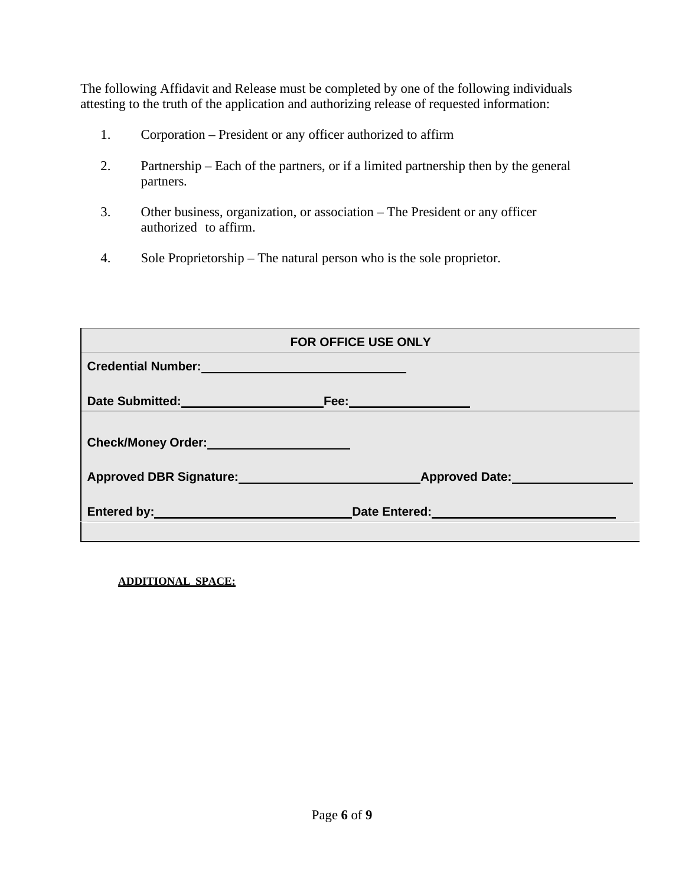The following Affidavit and Release must be completed by one of the following individuals attesting to the truth of the application and authorizing release of requested information:

- 1. Corporation President or any officer authorized to affirm
- 2. Partnership Each of the partners, or if a limited partnership then by the general partners.
- 3. Other business, organization, or association The President or any officer authorized to affirm.
- 4. Sole Proprietorship The natural person who is the sole proprietor.

| <b>FOR OFFICE USE ONLY</b>                                                                                                                                                                                                     |                                                                                                               |  |  |
|--------------------------------------------------------------------------------------------------------------------------------------------------------------------------------------------------------------------------------|---------------------------------------------------------------------------------------------------------------|--|--|
| Credential Number: New York Street, New York Street, New York Street, New York Street, New York Street, New York Street, New York Street, New York Street, New York Street, New York Street, New York Street, New York Street, |                                                                                                               |  |  |
| Date Submitted: <b>Example 2014</b>                                                                                                                                                                                            | Fee: 2008 2009 2012 2013 2014 2015 2016 2017 2018 2019 2017 2018 2019 2019 2019 2017 2018 2019 2019 2019 2019 |  |  |
| Check/Money Order: Network and Check/Money Order:                                                                                                                                                                              |                                                                                                               |  |  |
| Approved DBR Signature: Approved DBR Signature:                                                                                                                                                                                | <b>Approved Date:</b>                                                                                         |  |  |
| Entered by: _ __________________________                                                                                                                                                                                       | Date Entered: New York 1999                                                                                   |  |  |

**ADDITIONAL SPACE:**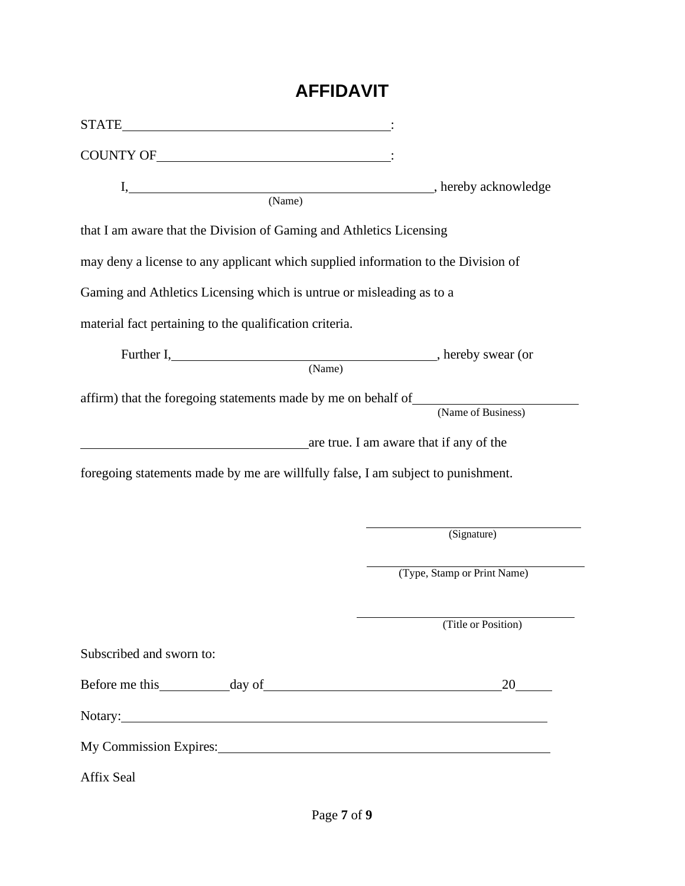# **AFFIDAVIT**

| COUNTY OF THE COUNTY OF                                                           |                             |  |
|-----------------------------------------------------------------------------------|-----------------------------|--|
|                                                                                   |                             |  |
| that I am aware that the Division of Gaming and Athletics Licensing               |                             |  |
| may deny a license to any applicant which supplied information to the Division of |                             |  |
| Gaming and Athletics Licensing which is untrue or misleading as to a              |                             |  |
| material fact pertaining to the qualification criteria.                           |                             |  |
| Further I, hereby swear (or<br>(Name)                                             |                             |  |
| affirm) that the foregoing statements made by me on behalf of                     | (Name of Business)          |  |
| are true. I am aware that if any of the                                           |                             |  |
| foregoing statements made by me are willfully false, I am subject to punishment.  |                             |  |
|                                                                                   |                             |  |
|                                                                                   | (Signature)                 |  |
|                                                                                   | (Type, Stamp or Print Name) |  |
|                                                                                   | (Title or Position)         |  |
| Subscribed and sworn to:                                                          |                             |  |
|                                                                                   |                             |  |
| Notary: Notary:                                                                   |                             |  |
| My Commission Expires: No. 2014 19:30 No. 2014                                    |                             |  |
| Affix Seal                                                                        |                             |  |

÷.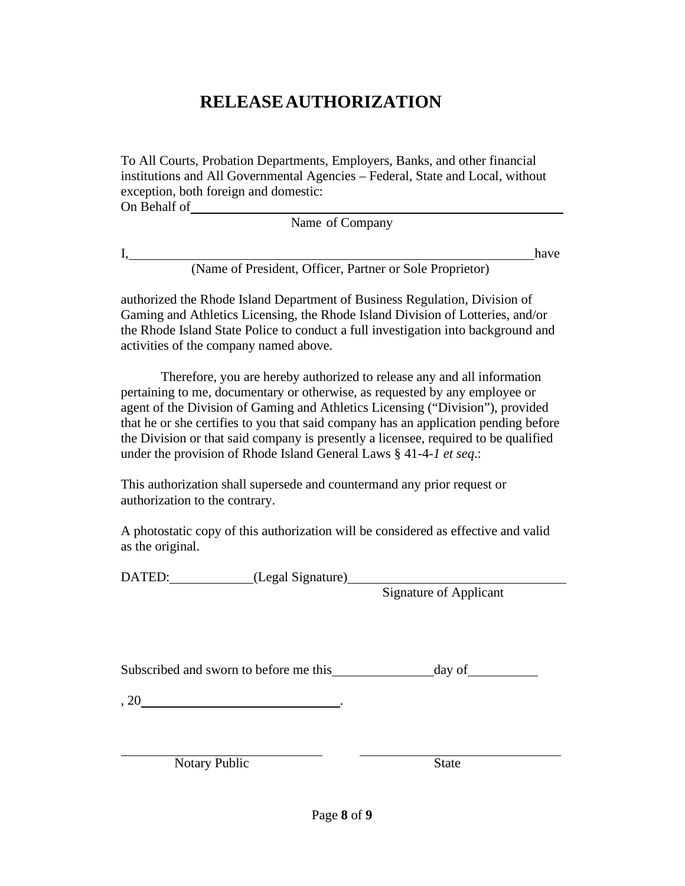# **RELEASEAUTHORIZATION**

To All Courts, Probation Departments, Employers, Banks, and other financial institutions and All Governmental Agencies – Federal, State and Local, without exception, both foreign and domestic: On Behalf of

Name of Company

I, have

(Name of President, Officer, Partner or Sole Proprietor)

authorized the Rhode Island Department of Business Regulation, Division of Gaming and Athletics Licensing, the Rhode Island Division of Lotteries, and/or the Rhode Island State Police to conduct a full investigation into background and activities of the company named above.

Therefore, you are hereby authorized to release any and all information pertaining to me, documentary or otherwise, as requested by any employee or agent of the Division of Gaming and Athletics Licensing ("Division"), provided that he or she certifies to you that said company has an application pending before the Division or that said company is presently a licensee, required to be qualified under the provision of Rhode Island General Laws § 41-4-*1 et seq*.:

This authorization shall supersede and countermand any prior request or authorization to the contrary.

A photostatic copy of this authorization will be considered as effective and valid as the original.

DATED: (Legal Signature)

Signature of Applicant

Subscribed and sworn to before me this day of

 $, 20$   $.$ 

Notary Public State